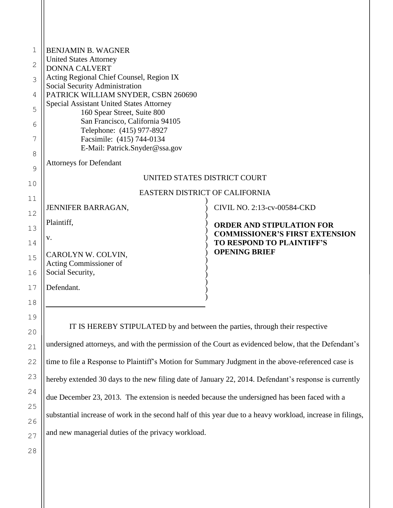| 1  | <b>BENJAMIN B. WAGNER</b>                                                                                  |                                                   |  |
|----|------------------------------------------------------------------------------------------------------------|---------------------------------------------------|--|
| 2  | <b>United States Attorney</b><br><b>DONNA CALVERT</b>                                                      |                                                   |  |
| 3  | Acting Regional Chief Counsel, Region IX                                                                   |                                                   |  |
|    | Social Security Administration                                                                             |                                                   |  |
| 4  | PATRICK WILLIAM SNYDER, CSBN 260690<br><b>Special Assistant United States Attorney</b>                     |                                                   |  |
| 5  | 160 Spear Street, Suite 800                                                                                |                                                   |  |
| 6  | San Francisco, California 94105                                                                            |                                                   |  |
| 7  | Telephone: (415) 977-8927<br>Facsimile: (415) 744-0134                                                     |                                                   |  |
|    | E-Mail: Patrick.Snyder@ssa.gov                                                                             |                                                   |  |
| 8  | <b>Attorneys for Defendant</b>                                                                             |                                                   |  |
| 9  | UNITED STATES DISTRICT COURT                                                                               |                                                   |  |
| 10 | <b>EASTERN DISTRICT OF CALIFORNIA</b>                                                                      |                                                   |  |
| 11 |                                                                                                            |                                                   |  |
| 12 | JENNIFER BARRAGAN,                                                                                         | CIVIL NO. 2:13-cv-00584-CKD                       |  |
| 13 | Plaintiff,                                                                                                 | <b>ORDER AND STIPULATION FOR</b>                  |  |
|    | V.                                                                                                         | <b>COMMISSIONER'S FIRST EXTENSION</b>             |  |
| 14 |                                                                                                            | TO RESPOND TO PLAINTIFF'S<br><b>OPENING BRIEF</b> |  |
| 15 | CAROLYN W. COLVIN,<br>Acting Commissioner of                                                               |                                                   |  |
| 16 | Social Security,                                                                                           |                                                   |  |
| 17 | Defendant.                                                                                                 |                                                   |  |
| 18 |                                                                                                            |                                                   |  |
|    |                                                                                                            |                                                   |  |
| 19 | IT IS HEREBY STIPULATED by and between the parties, through their respective                               |                                                   |  |
| 20 |                                                                                                            |                                                   |  |
| 21 | undersigned attorneys, and with the permission of the Court as evidenced below, that the Defendant's       |                                                   |  |
| 22 | time to file a Response to Plaintiff's Motion for Summary Judgment in the above-referenced case is         |                                                   |  |
| 23 | hereby extended 30 days to the new filing date of January 22, 2014. Defendant's response is currently      |                                                   |  |
| 24 | due December 23, 2013. The extension is needed because the undersigned has been faced with a               |                                                   |  |
| 25 |                                                                                                            |                                                   |  |
| 26 | substantial increase of work in the second half of this year due to a heavy workload, increase in filings, |                                                   |  |

and new managerial duties of the privacy workload.

27 28